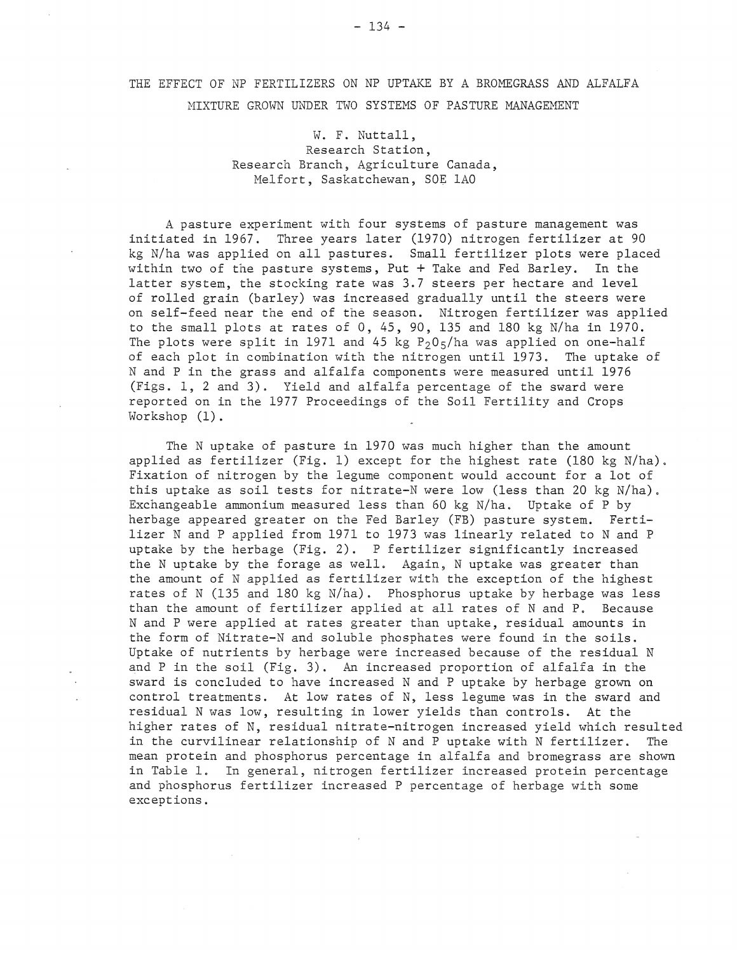## THE EFFECT OF NP FERTILIZERS ON NP UPTAKE BY A BROMEGRASS AND ALFALFA MIXTURE GROWN UNDER TWO SYSTEMS OF PASTURE MANAGEMENT

W. F. Nuttall, Research Station, Research Branch, Agriculture Canada, Melfort, Saskatchewan, SOE 1AO

A pasture experiment with four systems of pasture management was initiated in 1967. Three years later (1970) nitrogen fertilizer at 90 kg N/ha was applied on all pastures. Small fertilizer plots were placed within two of the pasture systems, Put + Take and Fed Barley. In the latter system, the stocking rate was 3.7 steers per hectare and level of rolled grain (barley) was increased gradually until the steers were on self-feed near the end of the season. Nitrogen fertilizer was applied to the small plots at rates of 0, 45, 90, 135 and 180 kg N/ha in 1970. The plots were split in 1971 and 45 kg  $P_2 O_5/ha$  was applied on one-half of each plot in combination with the nitrogen until 1973. The uptake of N and P in the grass and alfalfa components were measured until 1976 (Figs. 1, 2 and 3). Yield and alfalfa percentage of the sward were reported on in the 1977 Proceedings of the Soil Fertility and Crops Workshop (1).

The N uptake of pasture in 1970 was much higher than the amount applied as fertilizer (Fig. 1) except for the highest rate (180 kg N/ha). Fixation of nitrogen by the legume component would account for a lot of this uptake as soil tests for nitrate-N were low (less than 20 kg N/ha). Exchangeable ammonium measured less than 60 kg N/ha. Uptake of P by herbage appeared greater on the Fed Barley (FB) pasture system. Fertilizer N and P applied from 1971 to 1973 was linearly related to N and P uptake by the herbage (Fig. 2). P fertilizer significantly increased the N uptake by the forage as well. Again, N uptake was greater than the amount of N applied as fertilizer with the exception of the highest rates of N (135 and 180 kg N/ha). Phosphorus uptake by herbage was less than the amount of fertilizer applied at all rates of N and P. Because N and P were applied at rates greater than uptake, residual amounts in the form of Nitrate-N and soluble phosphates were found in the soils. Uptake of nutrients by herbage were increased because of the residual N and Pin the soil (Fig. 3). An increased proportion of alfalfa in the sward is concluded to have increased N and P uptake by herbage grown on control treatments. At low rates of N, less legume was in the sward and residual N was low, resulting in lower yields than controls. At the higher rates of N, residual nitrate-nitrogen increased yield which resulted in the curvilinear relationship of N and P uptake with N fertilizer. The mean protein and phosphorus percentage in alfalfa and bromegrass are shown in Table 1. In general, nitrogen fertilizer increased protein percentage and phosphorus fertilizer increased P percentage of herbage with some exceptions.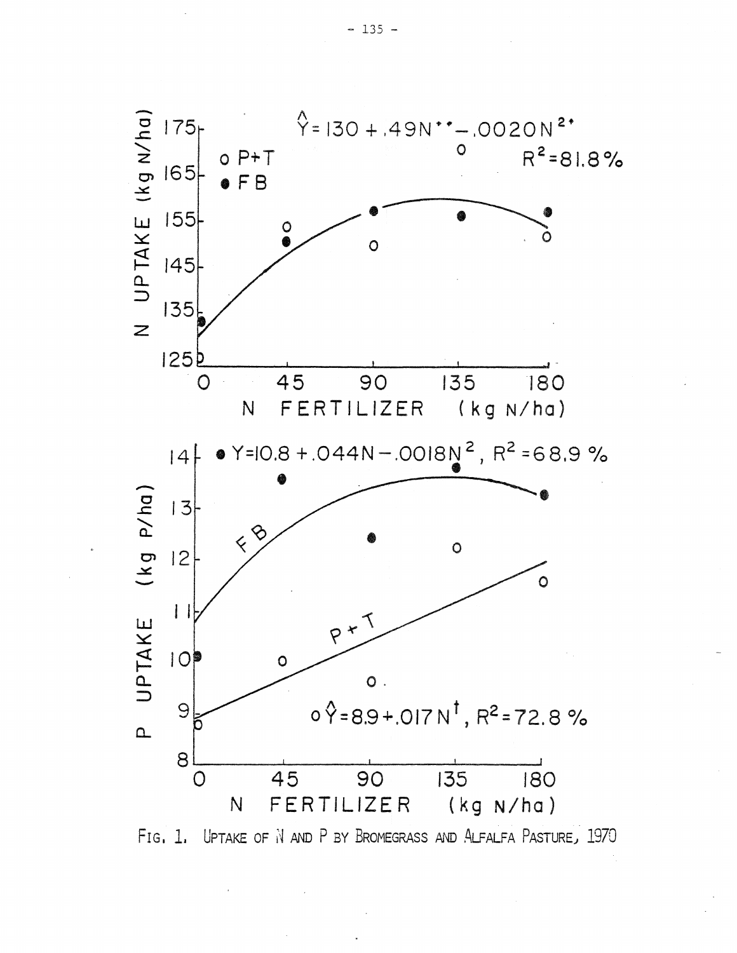

FIG. 1. UPTAKE OF N AND P BY BROMEGRASS AND ALFALFA PASTURE, 1970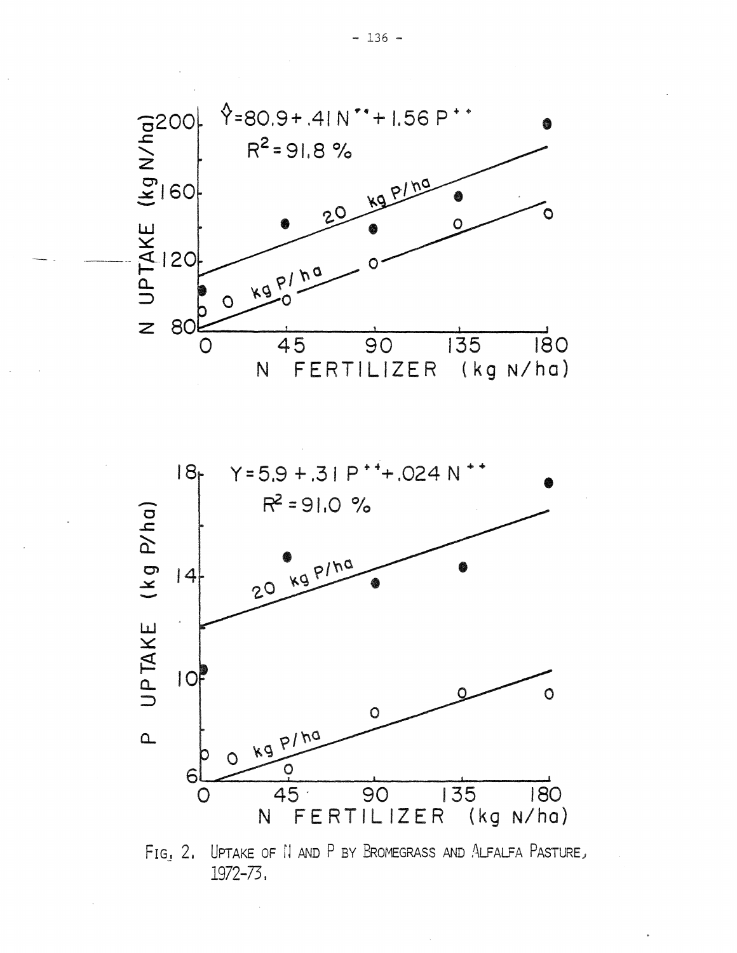



FIG, 2. UPTAKE OF II AND P BY BROMEGRASS AND ALFALFA PASTURE, 1972-73.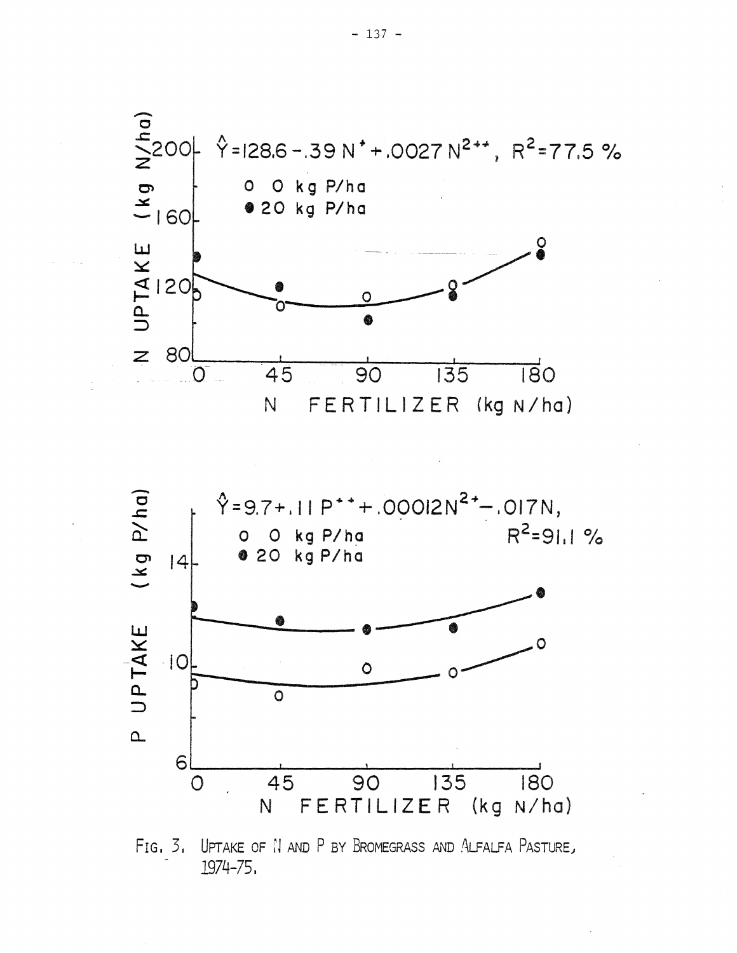

FIG. 3. UPTAKE OF N AND P BY BROMEGRASS AND ALFALFA PASTURE, 1974-75.